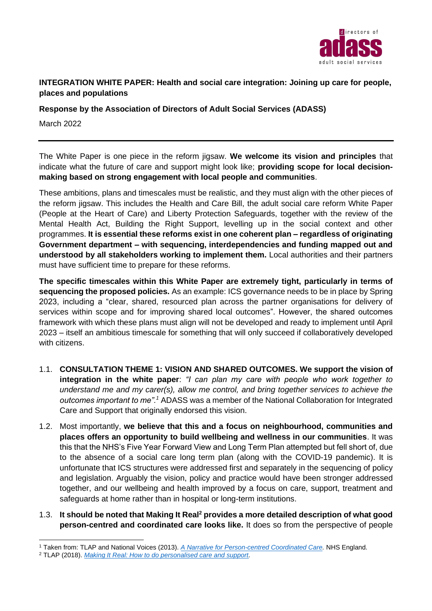

# **INTEGRATION WHITE PAPER: Health and social care integration: Joining up care for people, places and populations**

**Response by the Association of Directors of Adult Social Services (ADASS)**

March 2022

The White Paper is one piece in the reform jigsaw. **We welcome its vision and principles** that indicate what the future of care and support might look like; **providing scope for local decisionmaking based on strong engagement with local people and communities**.

These ambitions, plans and timescales must be realistic, and they must align with the other pieces of the reform jigsaw. This includes the Health and Care Bill, the adult social care reform White Paper (People at the Heart of Care) and Liberty Protection Safeguards, together with the review of the Mental Health Act, Building the Right Support, levelling up in the social context and other programmes. **It is essential these reforms exist in one coherent plan – regardless of originating Government department – with sequencing, interdependencies and funding mapped out and understood by all stakeholders working to implement them.** Local authorities and their partners must have sufficient time to prepare for these reforms.

**The specific timescales within this White Paper are extremely tight, particularly in terms of sequencing the proposed policies.** As an example: ICS governance needs to be in place by Spring 2023, including a "clear, shared, resourced plan across the partner organisations for delivery of services within scope and for improving shared local outcomes". However, the shared outcomes framework with which these plans must align will not be developed and ready to implement until April 2023 – itself an ambitious timescale for something that will only succeed if collaboratively developed with citizens.

- 1.1. **CONSULTATION THEME 1: VISION AND SHARED OUTCOMES. We support the vision of integration in the white paper**: *"I can plan my care with people who work together to understand me and my carer(s), allow me control, and bring together services to achieve the outcomes important to me".<sup>1</sup>* ADASS was a member of the National Collaboration for Integrated Care and Support that originally endorsed this vision.
- 1.2. Most importantly, **we believe that this and a focus on neighbourhood, communities and places offers an opportunity to build wellbeing and wellness in our communities**. It was this that the NHS's Five Year Forward View and Long Term Plan attempted but fell short of, due to the absence of a social care long term plan (along with the COVID-19 pandemic). It is unfortunate that ICS structures were addressed first and separately in the sequencing of policy and legislation. Arguably the vision, policy and practice would have been stronger addressed together, and our wellbeing and health improved by a focus on care, support, treatment and safeguards at home rather than in hospital or long-term institutions.
- 1.3. **It should be noted that Making It Real<sup>2</sup> provides a more detailed description of what good person-centred and coordinated care looks like.** It does so from the perspective of people

<sup>1</sup> Taken from: TLAP and National Voices (2013). *[A Narrative for Person-centred Coordinated Care.](https://www.england.nhs.uk/wp-content/uploads/2013/05/nv-narrative-cc.pdf)* NHS England.

<sup>2</sup> TLAP (2018). *[Making It Real: How to do personalised care and support.](https://www.thinklocalactpersonal.org.uk/_assets/MakingItReal/TLAP-Making-it-Real-report.pdf)*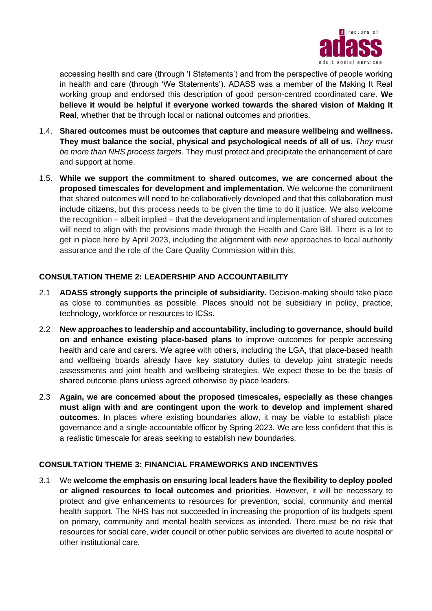

accessing health and care (through 'I Statements') and from the perspective of people working in health and care (through 'We Statements'). ADASS was a member of the Making It Real working group and endorsed this description of good person-centred coordinated care. **We believe it would be helpful if everyone worked towards the shared vision of Making It Real**, whether that be through local or national outcomes and priorities.

- 1.4. **Shared outcomes must be outcomes that capture and measure wellbeing and wellness. They must balance the social, physical and psychological needs of all of us.** *They must be more than NHS process targets.* They must protect and precipitate the enhancement of care and support at home.
- 1.5. **While we support the commitment to shared outcomes, we are concerned about the proposed timescales for development and implementation.** We welcome the commitment that shared outcomes will need to be collaboratively developed and that this collaboration must include citizens, but this process needs to be given the time to do it justice. We also welcome the recognition – albeit implied – that the development and implementation of shared outcomes will need to align with the provisions made through the Health and Care Bill. There is a lot to get in place here by April 2023, including the alignment with new approaches to local authority assurance and the role of the Care Quality Commission within this.

# **CONSULTATION THEME 2: LEADERSHIP AND ACCOUNTABILITY**

- 2.1 **ADASS strongly supports the principle of subsidiarity.** Decision-making should take place as close to communities as possible. Places should not be subsidiary in policy, practice, technology, workforce or resources to ICSs.
- 2.2 **New approaches to leadership and accountability, including to governance, should build on and enhance existing place-based plans** to improve outcomes for people accessing health and care and carers. We agree with others, including the LGA, that place-based health and wellbeing boards already have key statutory duties to develop joint strategic needs assessments and joint health and wellbeing strategies. We expect these to be the basis of shared outcome plans unless agreed otherwise by place leaders.
- 2.3 **Again, we are concerned about the proposed timescales, especially as these changes must align with and are contingent upon the work to develop and implement shared outcomes.** In places where existing boundaries allow, it may be viable to establish place governance and a single accountable officer by Spring 2023. We are less confident that this is a realistic timescale for areas seeking to establish new boundaries.

# **CONSULTATION THEME 3: FINANCIAL FRAMEWORKS AND INCENTIVES**

3.1 We **welcome the emphasis on ensuring local leaders have the flexibility to deploy pooled or aligned resources to local outcomes and priorities**. However, it will be necessary to protect and give enhancements to resources for prevention, social, community and mental health support. The NHS has not succeeded in increasing the proportion of its budgets spent on primary, community and mental health services as intended. There must be no risk that resources for social care, wider council or other public services are diverted to acute hospital or other institutional care.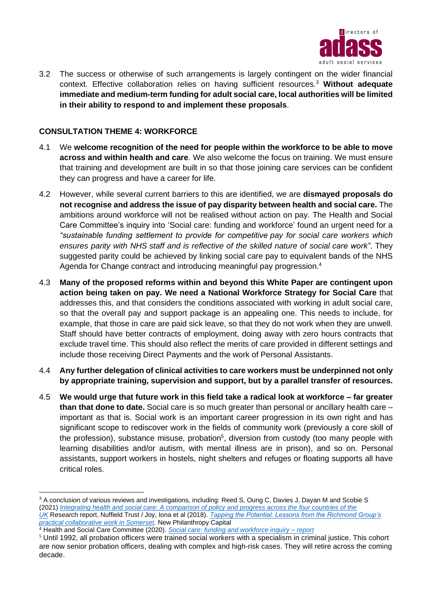

3.2 The success or otherwise of such arrangements is largely contingent on the wider financial context. Effective collaboration relies on having sufficient resources.<sup>3</sup> **Without adequate immediate and medium-term funding for adult social care, local authorities will be limited in their ability to respond to and implement these proposals**.

# **CONSULTATION THEME 4: WORKFORCE**

- 4.1 We **welcome recognition of the need for people within the workforce to be able to move across and within health and care**. We also welcome the focus on training. We must ensure that training and development are built in so that those joining care services can be confident they can progress and have a career for life.
- 4.2 However, while several current barriers to this are identified, we are **dismayed proposals do not recognise and address the issue of pay disparity between health and social care.** The ambitions around workforce will not be realised without action on pay. The Health and Social Care Committee's inquiry into 'Social care: funding and workforce' found an urgent need for a *"sustainable funding settlement to provide for competitive pay for social care workers which ensures parity with NHS staff and is reflective of the skilled nature of social care work"*. They suggested parity could be achieved by linking social care pay to equivalent bands of the NHS Agenda for Change contract and introducing meaningful pay progression.<sup>4</sup>
- 4.3 **Many of the proposed reforms within and beyond this White Paper are contingent upon action being taken on pay. We need a National Workforce Strategy for Social Care** that addresses this, and that considers the conditions associated with working in adult social care, so that the overall pay and support package is an appealing one. This needs to include, for example, that those in care are paid sick leave, so that they do not work when they are unwell. Staff should have better contracts of employment, doing away with zero hours contracts that exclude travel time. This should also reflect the merits of care provided in different settings and include those receiving Direct Payments and the work of Personal Assistants.
- 4.4 **Any further delegation of clinical activities to care workers must be underpinned not only by appropriate training, supervision and support, but by a parallel transfer of resources.**
- 4.5 **We would urge that future work in this field take a radical look at workforce – far greater than that done to date.** Social care is so much greater than personal or ancillary health care – important as that is. Social work is an important career progression in its own right and has significant scope to rediscover work in the fields of community work (previously a core skill of the profession), substance misuse, probation<sup>5</sup>, diversion from custody (too many people with learning disabilities and/or autism, with mental illness are in prison), and so on. Personal assistants, support workers in hostels, night shelters and refuges or floating supports all have critical roles.

<sup>&</sup>lt;sup>3</sup> A conclusion of various reviews and investigations, including: Reed S, Oung C, Davies J, Dayan M and Scobie S (2021) *[Integrating health and social care: A comparison of policy and progress across the four countries of the](https://www.nuffieldtrust.org.uk/research/integrating-health-and-social-care-a-comparison-of-policy-and-progress-across-the-four-countries-of-the-uk)  [UK](https://www.nuffieldtrust.org.uk/research/integrating-health-and-social-care-a-comparison-of-policy-and-progress-across-the-four-countries-of-the-uk)* Research report, Nuffield Trust / Joy, Iona et al (2018). *[Tapping the Potential: Lessons from the Richmond Group's](https://www.thinknpc.org/resource-hub/tapping-the-potential/)  [practical collaborative work in Somerset.](https://www.thinknpc.org/resource-hub/tapping-the-potential/)* New Philanthropy Capital

<sup>4</sup> Health and Social Care Committee (2020). *[Social care: funding and workforce inquiry –](https://publications.parliament.uk/pa/cm5801/cmselect/cmhealth/206/20605.htm#_idTextAnchor022) report*

<sup>&</sup>lt;sup>5</sup> Until 1992, all probation officers were trained social workers with a specialism in criminal justice. This cohort are now senior probation officers, dealing with complex and high-risk cases. They will retire across the coming decade.